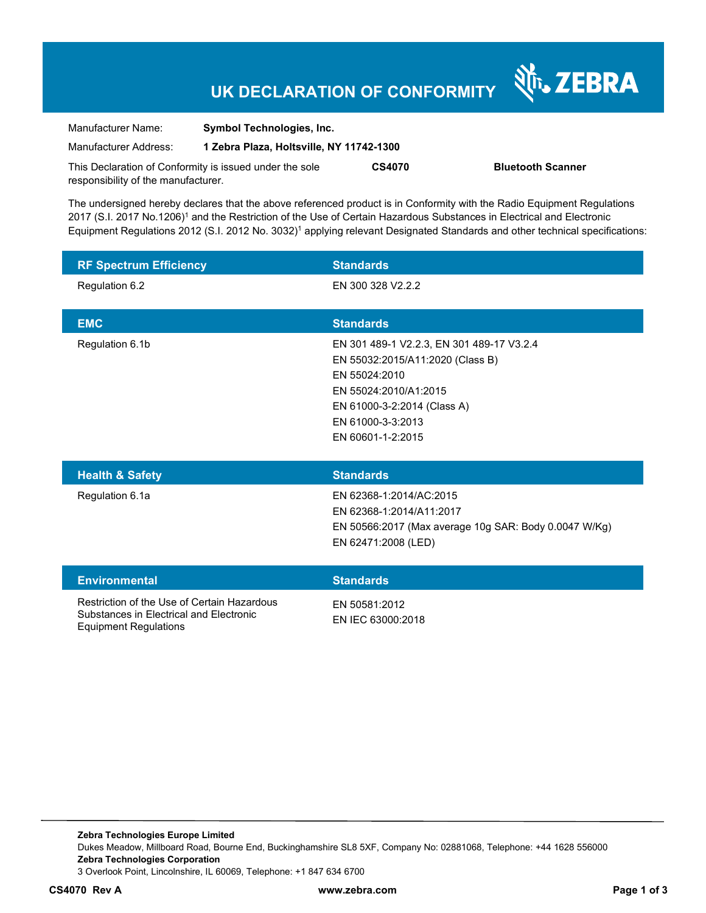## **UK DECLARATION OF CONFORMITY**

Nr. ZEBRA

| Manufacturer Name:                                      | <b>Symbol Technologies, Inc.</b>         |               |                          |
|---------------------------------------------------------|------------------------------------------|---------------|--------------------------|
| Manufacturer Address:                                   | 1 Zebra Plaza, Holtsville, NY 11742-1300 |               |                          |
| This Declaration of Conformity is issued under the sole |                                          | <b>CS4070</b> | <b>Bluetooth Scanner</b> |
| responsibility of the manufacturer.                     |                                          |               |                          |

The undersigned hereby declares that the above referenced product is in Conformity with the Radio Equipment Regulations 2017 (S.I. 2017 No.1206)<sup>1</sup> and the Restriction of the Use of Certain Hazardous Substances in Electrical and Electronic Equipment Regulations 2012 (S.I. 2012 No. 3032)<sup>1</sup> applying relevant Designated Standards and other technical specifications:

| <b>RF Spectrum Efficiency</b> | <b>Standards</b>                                                                                                                                                                                 |
|-------------------------------|--------------------------------------------------------------------------------------------------------------------------------------------------------------------------------------------------|
| Regulation 6.2                | EN 300 328 V2.2.2                                                                                                                                                                                |
| <b>EMC</b>                    | <b>Standards</b>                                                                                                                                                                                 |
| Regulation 6.1b               | EN 301 489-1 V2.2.3, EN 301 489-17 V3.2.4<br>EN 55032:2015/A11:2020 (Class B)<br>EN 55024:2010<br>EN 55024:2010/A1:2015<br>EN 61000-3-2:2014 (Class A)<br>EN 61000-3-3:2013<br>EN 60601-1-2:2015 |
|                               |                                                                                                                                                                                                  |
| <b>Health &amp; Safety</b>    | <b>Standards</b>                                                                                                                                                                                 |
| Regulation 6.1a               | EN 62368-1:2014/AC:2015<br>EN 62368-1:2014/A11:2017<br>EN 50566:2017 (Max average 10g SAR: Body 0.0047 W/Kg)<br>EN 62471:2008 (LED)                                                              |
| <b>Environmental</b>          | <b>Standards</b>                                                                                                                                                                                 |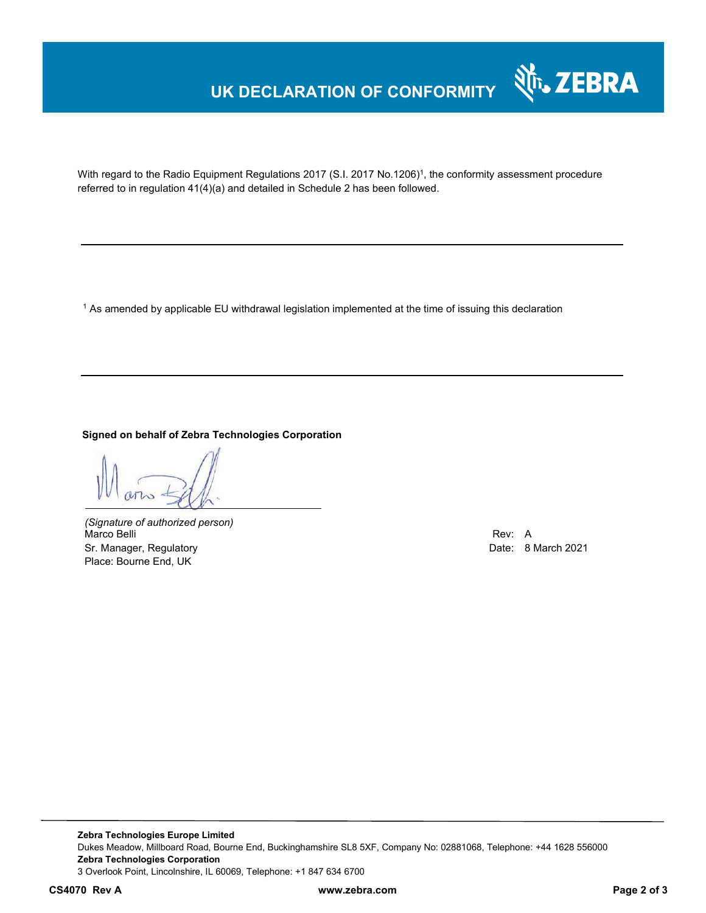## **UK DECLARATION OF CONFORMITY**



With regard to the Radio Equipment Regulations 2017 (S.I. 2017 No.1206)<sup>1</sup>, the conformity assessment procedure referred to in regulation 41(4)(a) and detailed in Schedule 2 has been followed.

 $^{\rm 1}$  As amended by applicable EU withdrawal legislation implemented at the time of issuing this declaration

**Signed on behalf of Zebra Technologies Corporation** 

*(Signature of authorized person)* Marco Belli Rev: A Sr. Manager, Regulatory **Date: 8 March 2021** Controller and Date: 8 March 2021 Place: Bourne End, UK

**Zebra Technologies Europe Limited**  Dukes Meadow, Millboard Road, Bourne End, Buckinghamshire SL8 5XF, Company No: 02881068, Telephone: +44 1628 556000 **Zebra Technologies Corporation**  3 Overlook Point, Lincolnshire, IL 60069, Telephone: +1 847 634 6700